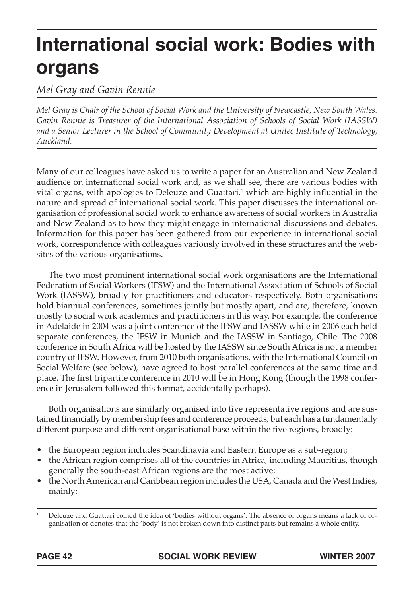# **International social work: Bodies with organs**

*Mel Gray and Gavin Rennie*

*Mel Gray is Chair of the School of Social Work and the University of Newcastle, New South Wales. Gavin Rennie is Treasurer of the International Association of Schools of Social Work (IASSW) and a Senior Lecturer in the School of Community Development at Unitec Institute of Technology, Auckland.*

Many of our colleagues have asked us to write a paper for an Australian and New Zealand audience on international social work and, as we shall see, there are various bodies with vital organs, with apologies to Deleuze and Guattari, $^1$  which are highly influential in the nature and spread of international social work. This paper discusses the international organisation of professional social work to enhance awareness of social workers in Australia and New Zealand as to how they might engage in international discussions and debates. Information for this paper has been gathered from our experience in international social work, correspondence with colleagues variously involved in these structures and the websites of the various organisations.

The two most prominent international social work organisations are the International Federation of Social Workers (IFSW) and the International Association of Schools of Social Work (IASSW), broadly for practitioners and educators respectively. Both organisations hold biannual conferences, sometimes jointly but mostly apart, and are, therefore, known mostly to social work academics and practitioners in this way. For example, the conference in Adelaide in 2004 was a joint conference of the IFSW and IASSW while in 2006 each held separate conferences, the IFSW in Munich and the IASSW in Santiago, Chile. The 2008 conference in South Africa will be hosted by the IASSW since South Africa is not a member country of IFSW. However, from 2010 both organisations, with the International Council on Social Welfare (see below), have agreed to host parallel conferences at the same time and place. The first tripartite conference in 2010 will be in Hong Kong (though the 1998 conference in Jerusalem followed this format, accidentally perhaps).

Both organisations are similarly organised into five representative regions and are sustained financially by membership fees and conference proceeds, but each has a fundamentally different purpose and different organisational base within the five regions, broadly:

- the European region includes Scandinavia and Eastern Europe as a sub-region;
- the African region comprises all of the countries in Africa, including Mauritius, though generally the south-east African regions are the most active;
- the North American and Caribbean region includes the USA, Canada and the West Indies, mainly;

<sup>1</sup> Deleuze and Guattari coined the idea of 'bodies without organs'. The absence of organs means a lack of organisation or denotes that the 'body' is not broken down into distinct parts but remains a whole entity.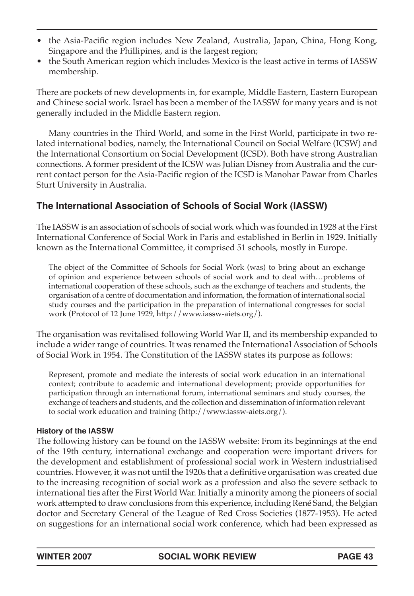- the Asia-Pacific region includes New Zealand, Australia, Japan, China, Hong Kong, Singapore and the Phillipines, and is the largest region;
- the South American region which includes Mexico is the least active in terms of IASSW membership.

There are pockets of new developments in, for example, Middle Eastern, Eastern European and Chinese social work. Israel has been a member of the IASSW for many years and is not generally included in the Middle Eastern region.

Many countries in the Third World, and some in the First World, participate in two related international bodies, namely, the International Council on Social Welfare (ICSW) and the International Consortium on Social Development (ICSD). Both have strong Australian connections. A former president of the ICSW was Julian Disney from Australia and the current contact person for the Asia-Pacific region of the ICSD is Manohar Pawar from Charles Sturt University in Australia.

# **The International Association of Schools of Social Work (IASSW)**

The IASSW is an association of schools of social work which was founded in 1928 at the First International Conference of Social Work in Paris and established in Berlin in 1929. Initially known as the International Committee, it comprised 51 schools, mostly in Europe.

The object of the Committee of Schools for Social Work (was) to bring about an exchange of opinion and experience between schools of social work and to deal with…problems of international cooperation of these schools, such as the exchange of teachers and students, the organisation of a centre of documentation and information, the formation of international social study courses and the participation in the preparation of international congresses for social work (Protocol of 12 June 1929, http://www.iassw-aiets.org/).

The organisation was revitalised following World War II, and its membership expanded to include a wider range of countries. It was renamed the International Association of Schools of Social Work in 1954. The Constitution of the IASSW states its purpose as follows:

Represent, promote and mediate the interests of social work education in an international context; contribute to academic and international development; provide opportunities for participation through an international forum, international seminars and study courses, the exchange of teachers and students, and the collection and dissemination of information relevant to social work education and training (http://www.iassw-aiets.org/).

## **History of the IASSW**

The following history can be found on the IASSW website: From its beginnings at the end of the 19th century, international exchange and cooperation were important drivers for the development and establishment of professional social work in Western industrialised countries. However, it was not until the 1920s that a definitive organisation was created due to the increasing recognition of social work as a profession and also the severe setback to international ties after the First World War. Initially a minority among the pioneers of social work attempted to draw conclusions from this experience, including René Sand, the Belgian doctor and Secretary General of the League of Red Cross Societies (1877-1953). He acted on suggestions for an international social work conference, which had been expressed as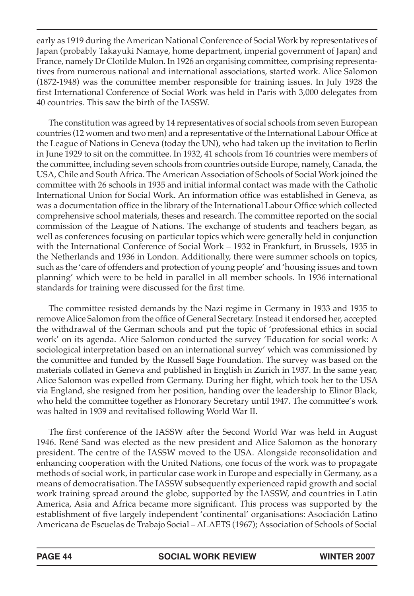early as 1919 during the American National Conference of Social Work by representatives of Japan (probably Takayuki Namaye, home department, imperial government of Japan) and France, namely Dr Clotilde Mulon. In 1926 an organising committee, comprising representatives from numerous national and international associations, started work. Alice Salomon (1872-1948) was the committee member responsible for training issues. In July 1928 the first International Conference of Social Work was held in Paris with 3,000 delegates from 40 countries. This saw the birth of the IASSW.

The constitution was agreed by 14 representatives of social schools from seven European countries (12 women and two men) and a representative of the International Labour Office at the League of Nations in Geneva (today the UN), who had taken up the invitation to Berlin in June 1929 to sit on the committee. In 1932, 41 schools from 16 countries were members of the committee, including seven schools from countries outside Europe, namely, Canada, the USA, Chile and South Africa. The American Association of Schools of Social Work joined the committee with 26 schools in 1935 and initial informal contact was made with the Catholic International Union for Social Work. An information office was established in Geneva, as was a documentation office in the library of the International Labour Office which collected comprehensive school materials, theses and research. The committee reported on the social commission of the League of Nations. The exchange of students and teachers began, as well as conferences focusing on particular topics which were generally held in conjunction with the International Conference of Social Work – 1932 in Frankfurt, in Brussels, 1935 in the Netherlands and 1936 in London. Additionally, there were summer schools on topics, such as the 'care of offenders and protection of young people' and 'housing issues and town planning' which were to be held in parallel in all member schools. In 1936 international standards for training were discussed for the first time.

The committee resisted demands by the Nazi regime in Germany in 1933 and 1935 to remove Alice Salomon from the office of General Secretary. Instead it endorsed her, accepted the withdrawal of the German schools and put the topic of 'professional ethics in social work' on its agenda. Alice Salomon conducted the survey 'Education for social work: A sociological interpretation based on an international survey' which was commissioned by the committee and funded by the Russell Sage Foundation. The survey was based on the materials collated in Geneva and published in English in Zurich in 1937. In the same year, Alice Salomon was expelled from Germany. During her flight, which took her to the USA via England, she resigned from her position, handing over the leadership to Elinor Black, who held the committee together as Honorary Secretary until 1947. The committee's work was halted in 1939 and revitalised following World War II.

The first conference of the IASSW after the Second World War was held in August 1946. René Sand was elected as the new president and Alice Salomon as the honorary president. The centre of the IASSW moved to the USA. Alongside reconsolidation and enhancing cooperation with the United Nations, one focus of the work was to propagate methods of social work, in particular case work in Europe and especially in Germany, as a means of democratisation. The IASSW subsequently experienced rapid growth and social work training spread around the globe, supported by the IASSW, and countries in Latin America, Asia and Africa became more significant. This process was supported by the establishment of five largely independent 'continental' organisations: Asociación Latino Americana de Escuelas de Trabajo Social – ALAETS (1967); Association of Schools of Social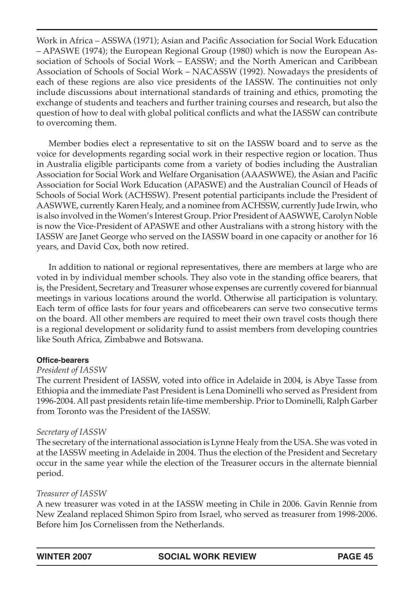Work in Africa – ASSWA (1971); Asian and Pacific Association for Social Work Education – APASWE (1974); the European Regional Group (1980) which is now the European Association of Schools of Social Work – EASSW; and the North American and Caribbean Association of Schools of Social Work – NACASSW (1992). Nowadays the presidents of each of these regions are also vice presidents of the IASSW. The continuities not only include discussions about international standards of training and ethics, promoting the exchange of students and teachers and further training courses and research, but also the question of how to deal with global political conflicts and what the IASSW can contribute to overcoming them.

Member bodies elect a representative to sit on the IASSW board and to serve as the voice for developments regarding social work in their respective region or location. Thus in Australia eligible participants come from a variety of bodies including the Australian Association for Social Work and Welfare Organisation (AAASWWE), the Asian and Pacific Association for Social Work Education (APASWE) and the Australian Council of Heads of Schools of Social Work (ACHSSW). Present potential participants include the President of AASWWE, currently Karen Healy, and a nominee from ACHSSW, currently Jude Irwin, who is also involved in the Women's Interest Group. Prior President of AASWWE, Carolyn Noble is now the Vice-President of APASWE and other Australians with a strong history with the IASSW are Janet George who served on the IASSW board in one capacity or another for 16 years, and David Cox, both now retired.

In addition to national or regional representatives, there are members at large who are voted in by individual member schools. They also vote in the standing office bearers, that is, the President, Secretary and Treasurer whose expenses are currently covered for biannual meetings in various locations around the world. Otherwise all participation is voluntary. Each term of office lasts for four years and officebearers can serve two consecutive terms on the board. All other members are required to meet their own travel costs though there is a regional development or solidarity fund to assist members from developing countries like South Africa, Zimbabwe and Botswana.

#### **Office-bearers**

#### *President of IASSW*

The current President of IASSW, voted into office in Adelaide in 2004, is Abye Tasse from Ethiopia and the immediate Past President is Lena Dominelli who served as President from 1996-2004. All past presidents retain life-time membership. Prior to Dominelli, Ralph Garber from Toronto was the President of the IASSW.

## *Secretary of IASSW*

The secretary of the international association is Lynne Healy from the USA. She was voted in at the IASSW meeting in Adelaide in 2004. Thus the election of the President and Secretary occur in the same year while the election of the Treasurer occurs in the alternate biennial period.

## *Treasurer of IASSW*

A new treasurer was voted in at the IASSW meeting in Chile in 2006. Gavin Rennie from New Zealand replaced Shimon Spiro from Israel, who served as treasurer from 1998-2006. Before him Jos Cornelissen from the Netherlands.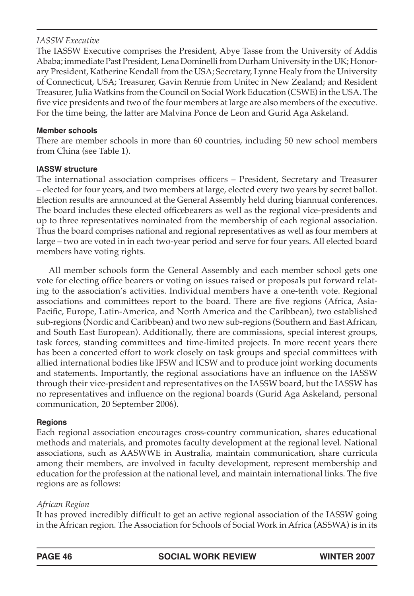## *IASSW Executive*

The IASSW Executive comprises the President, Abye Tasse from the University of Addis Ababa; immediate Past President, Lena Dominelli from Durham University in the UK; Honorary President, Katherine Kendall from the USA; Secretary, Lynne Healy from the University of Connecticut, USA; Treasurer, Gavin Rennie from Unitec in New Zealand; and Resident Treasurer, Julia Watkins from the Council on Social Work Education (CSWE) in the USA. The five vice presidents and two of the four members at large are also members of the executive. For the time being, the latter are Malvina Ponce de Leon and Gurid Aga Askeland.

#### **Member schools**

There are member schools in more than 60 countries, including 50 new school members from China (see Table 1).

#### **IASSW structure**

The international association comprises officers – President, Secretary and Treasurer – elected for four years, and two members at large, elected every two years by secret ballot. Election results are announced at the General Assembly held during biannual conferences. The board includes these elected officebearers as well as the regional vice-presidents and up to three representatives nominated from the membership of each regional association. Thus the board comprises national and regional representatives as well as four members at large – two are voted in in each two-year period and serve for four years. All elected board members have voting rights.

All member schools form the General Assembly and each member school gets one vote for electing office bearers or voting on issues raised or proposals put forward relating to the association's activities. Individual members have a one-tenth vote. Regional associations and committees report to the board. There are five regions (Africa, Asia-Pacific, Europe, Latin-America, and North America and the Caribbean), two established sub-regions (Nordic and Caribbean) and two new sub-regions (Southern and East African, and South East European). Additionally, there are commissions, special interest groups, task forces, standing committees and time-limited projects. In more recent years there has been a concerted effort to work closely on task groups and special committees with allied international bodies like IFSW and ICSW and to produce joint working documents and statements. Importantly, the regional associations have an influence on the IASSW through their vice-president and representatives on the IASSW board, but the IASSW has no representatives and influence on the regional boards (Gurid Aga Askeland, personal communication, 20 September 2006).

#### **Regions**

Each regional association encourages cross-country communication, shares educational methods and materials, and promotes faculty development at the regional level. National associations, such as AASWWE in Australia, maintain communication, share curricula among their members, are involved in faculty development, represent membership and education for the profession at the national level, and maintain international links. The five regions are as follows:

## *African Region*

It has proved incredibly difficult to get an active regional association of the IASSW going in the African region. The Association for Schools of Social Work in Africa (ASSWA) is in its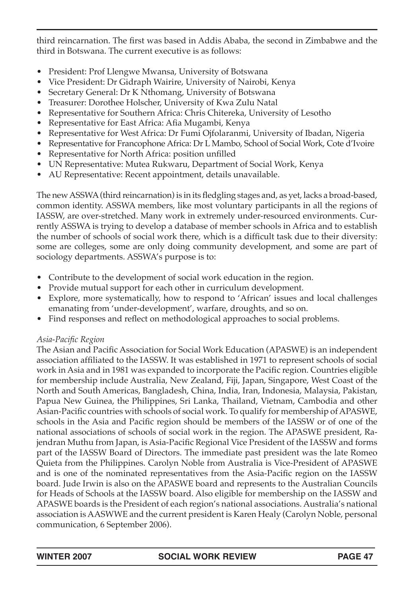third reincarnation. The first was based in Addis Ababa, the second in Zimbabwe and the third in Botswana. The current executive is as follows:

- President: Prof Llengwe Mwansa, University of Botswana
- Vice President: Dr Gidraph Wairire, University of Nairobi, Kenya
- Secretary General: Dr K Nthomang, University of Botswana
- Treasurer: Dorothee Holscher, University of Kwa Zulu Natal
- Representative for Southern Africa: Chris Chitereka, University of Lesotho
- Representative for East Africa: Afia Mugambi, Kenya
- Representative for West Africa: Dr Fumi Ojfolaranmi, University of Ibadan, Nigeria
- Representative for Francophone Africa: Dr L Mambo, School of Social Work, Cote d'Ivoire
- Representative for North Africa: position unfilled
- UN Representative: Mutea Rukwaru, Department of Social Work, Kenya
- AU Representative: Recent appointment, details unavailable.

The new ASSWA (third reincarnation) is in its fledgling stages and, as yet, lacks a broad-based, common identity. ASSWA members, like most voluntary participants in all the regions of IASSW, are over-stretched. Many work in extremely under-resourced environments. Currently ASSWA is trying to develop a database of member schools in Africa and to establish the number of schools of social work there, which is a difficult task due to their diversity: some are colleges, some are only doing community development, and some are part of sociology departments. ASSWA's purpose is to:

- Contribute to the development of social work education in the region.
- Provide mutual support for each other in curriculum development.
- Explore, more systematically, how to respond to 'African' issues and local challenges emanating from 'under-development', warfare, droughts, and so on.
- Find responses and reflect on methodological approaches to social problems.

## *Asia-Pacific Region*

The Asian and Pacific Association for Social Work Education (APASWE) is an independent association affiliated to the IASSW. It was established in 1971 to represent schools of social work in Asia and in 1981 was expanded to incorporate the Pacific region. Countries eligible for membership include Australia, New Zealand, Fiji, Japan, Singapore, West Coast of the North and South Americas, Bangladesh, China, India, Iran, Indonesia, Malaysia, Pakistan, Papua New Guinea, the Philippines, Sri Lanka, Thailand, Vietnam, Cambodia and other Asian-Pacific countries with schools of social work. To qualify for membership of APASWE, schools in the Asia and Pacific region should be members of the IASSW or of one of the national associations of schools of social work in the region. The APASWE president, Rajendran Muthu from Japan, is Asia-Pacific Regional Vice President of the IASSW and forms part of the IASSW Board of Directors. The immediate past president was the late Romeo Quieta from the Philippines. Carolyn Noble from Australia is Vice-President of APASWE and is one of the nominated representatives from the Asia-Pacific region on the IASSW board. Jude Irwin is also on the APASWE board and represents to the Australian Councils for Heads of Schools at the IASSW board. Also eligible for membership on the IASSW and APASWE boards is the President of each region's national associations. Australia's national association is AASWWE and the current president is Karen Healy (Carolyn Noble, personal communication, 6 September 2006).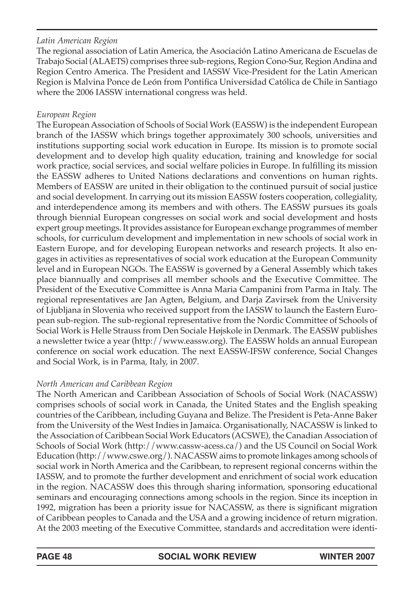## *Latin American Region*

The regional association of Latin America, the Asociación Latino Americana de Escuelas de Trabajo Social (ALAETS) comprises three sub-regions, Region Cono-Sur, Region Andina and Region Centro America. The President and IASSW Vice-President for the Latin American Region is Malvina Ponce de León from Pontifica Universidad Católica de Chile in Santiago where the 2006 IASSW international congress was held.

## *European Region*

The European Association of Schools of Social Work (EASSW) is the independent European branch of the IASSW which brings together approximately 300 schools, universities and institutions supporting social work education in Europe. Its mission is to promote social development and to develop high quality education, training and knowledge for social work practice, social services, and social welfare policies in Europe. In fulfilling its mission the EASSW adheres to United Nations declarations and conventions on human rights. Members of EASSW are united in their obligation to the continued pursuit of social justice and social development. In carrying out its mission EASSW fosters cooperation, collegiality, and interdependence among its members and with others. The EASSW pursues its goals through biennial European congresses on social work and social development and hosts expert group meetings. It provides assistance for European exchange programmes of member schools, for curriculum development and implementation in new schools of social work in Eastern Europe, and for developing European networks and research projects. It also engages in activities as representatives of social work education at the European Community level and in European NGOs. The EASSW is governed by a General Assembly which takes place biannually and comprises all member schools and the Executive Committee. The President of the Executive Committee is Anna Maria Campanini from Parma in Italy. The regional representatives are Jan Agten, Belgium, and Darja Zavirsek from the University of Ljubljana in Slovenia who received support from the IASSW to launch the Eastern European sub-region. The sub-regional representative from the Nordic Committee of Schools of Social Work is Helle Strauss from Den Sociale Højskole in Denmark. The EASSW publishes a newsletter twice a year (http://www.eassw.org). The EASSW holds an annual European conference on social work education. The next EASSW-IFSW conference, Social Changes and Social Work, is in Parma, Italy, in 2007.

## *North American and Caribbean Region*

The North American and Caribbean Association of Schools of Social Work (NACASSW) comprises schools of social work in Canada, the United States and the English speaking countries of the Caribbean, including Guyana and Belize. The President is Peta-Anne Baker from the University of the West Indies in Jamaica. Organisationally, NACASSW is linked to the Association of Caribbean Social Work Educators (ACSWE), the Canadian Association of Schools of Social Work (http://www.cassw-acess.ca/) and the US Council on Social Work Education (http://www.cswe.org/). NACASSW aims to promote linkages among schools of social work in North America and the Caribbean, to represent regional concerns within the IASSW, and to promote the further development and enrichment of social work education in the region. NACASSW does this through sharing information, sponsoring educational seminars and encouraging connections among schools in the region. Since its inception in 1992, migration has been a priority issue for NACASSW, as there is significant migration of Caribbean peoples to Canada and the USA and a growing incidence of return migration. At the 2003 meeting of the Executive Committee, standards and accreditation were identi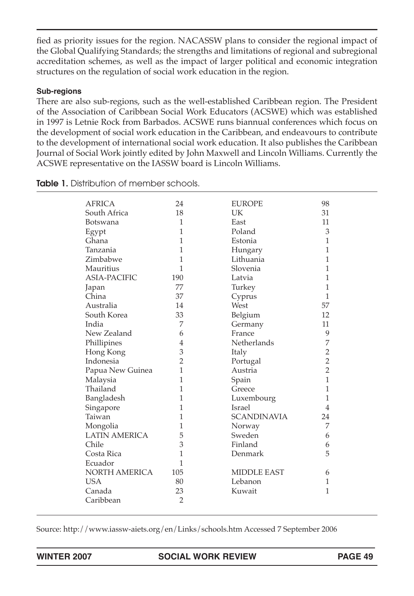fied as priority issues for the region. NACASSW plans to consider the regional impact of the Global Qualifying Standards; the strengths and limitations of regional and subregional accreditation schemes, as well as the impact of larger political and economic integration structures on the regulation of social work education in the region.

#### **Sub-regions**

There are also sub-regions, such as the well-established Caribbean region. The President of the Association of Caribbean Social Work Educators (ACSWE) which was established in 1997 is Letnie Rock from Barbados. ACSWE runs biannual conferences which focus on the development of social work education in the Caribbean, and endeavours to contribute to the development of international social work education. It also publishes the Caribbean Journal of Social Work jointly edited by John Maxwell and Lincoln Williams. Currently the ACSWE representative on the IASSW board is Lincoln Williams.

| AFRICA               | 24             | <b>EUROPE</b>      | 98             |  |
|----------------------|----------------|--------------------|----------------|--|
| South Africa         | 18             | <b>UK</b>          | 31             |  |
| <b>Botswana</b>      | 1              | East               | 11             |  |
| Egypt                | 1              | Poland             | 3              |  |
| Ghana                | 1              | Estonia            | 1              |  |
| Tanzania             | 1              | Hungary            | 1              |  |
| Zimbabwe             | 1              | Lithuania          | 1              |  |
| <b>Mauritius</b>     | 1              | Slovenia           | 1              |  |
| <b>ASIA-PACIFIC</b>  | 190            | Latvia             | 1              |  |
| Japan                | 77             | Turkey             | 1              |  |
| China                | 37             | Cyprus             | 1              |  |
| Australia            | 14             | West               | 57             |  |
| South Korea          | 33             | Belgium            | 12             |  |
| India                | 7              | Germany            | 11             |  |
| New Zealand          | 6              | France             | 9              |  |
| Phillipines          | 4              | <b>Netherlands</b> | 7              |  |
| Hong Kong            | 3              | Italy              | $\overline{2}$ |  |
| Indonesia            | $\overline{2}$ | Portugal           | $\overline{2}$ |  |
| Papua New Guinea     | 1              | Austria            | $\overline{2}$ |  |
| Malaysia             | 1              | Spain              | 1              |  |
| Thailand             | 1              | Greece             | 1              |  |
| Bangladesh           | 1              | Luxembourg         | 1              |  |
| Singapore            | 1              | <b>Israel</b>      | 4              |  |
| Taiwan               | 1              | <b>SCANDINAVIA</b> | 24             |  |
| Mongolia             | 1              | Norway             | 7              |  |
| <b>LATIN AMERICA</b> | 5              | Sweden             | 6              |  |
| Chile                | 3              | Finland            | 6              |  |
| Costa Rica           | 1              | Denmark            | 5              |  |
| Ecuador              | 1              |                    |                |  |
| NORTH AMERICA        | 105            | <b>MIDDLE EAST</b> | 6              |  |
| <b>USA</b>           | 80             | Lebanon            | 1              |  |
| Canada               | 23             | Kuwait             | 1              |  |
| Caribbean            | $\overline{2}$ |                    |                |  |
|                      |                |                    |                |  |

**Table 1.** Distribution of member schools.

Source: http://www.iassw-aiets.org/en/Links/schools.htm Accessed 7 September 2006

**WINTER 2007 SOCIAL WORK REVIEW PAGE 49**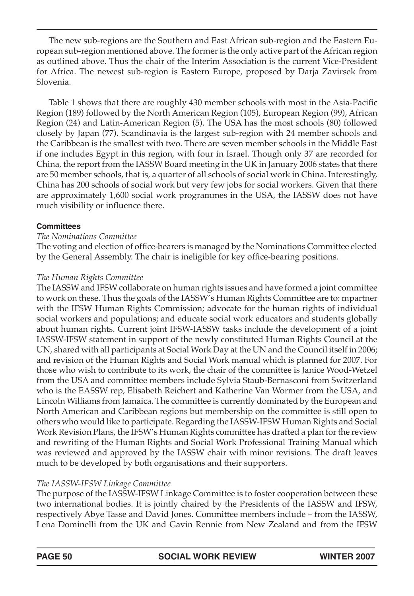The new sub-regions are the Southern and East African sub-region and the Eastern European sub-region mentioned above. The former is the only active part of the African region as outlined above. Thus the chair of the Interim Association is the current Vice-President for Africa. The newest sub-region is Eastern Europe, proposed by Darja Zavirsek from Slovenia.

Table 1 shows that there are roughly 430 member schools with most in the Asia-Pacific Region (189) followed by the North American Region (105), European Region (99), African Region (24) and Latin-American Region (5). The USA has the most schools (80) followed closely by Japan (77). Scandinavia is the largest sub-region with 24 member schools and the Caribbean is the smallest with two. There are seven member schools in the Middle East if one includes Egypt in this region, with four in Israel. Though only 37 are recorded for China, the report from the IASSW Board meeting in the UK in January 2006 states that there are 50 member schools, that is, a quarter of all schools of social work in China. Interestingly, China has 200 schools of social work but very few jobs for social workers. Given that there are approximately 1,600 social work programmes in the USA, the IASSW does not have much visibility or influence there.

#### **Committees**

#### *The Nominations Committee*

The voting and election of office-bearers is managed by the Nominations Committee elected by the General Assembly. The chair is ineligible for key office-bearing positions.

#### *The Human Rights Committee*

The IASSW and IFSW collaborate on human rights issues and have formed a joint committee to work on these. Thus the goals of the IASSW's Human Rights Committee are to: mpartner with the IFSW Human Rights Commission; advocate for the human rights of individual social workers and populations; and educate social work educators and students globally about human rights. Current joint IFSW-IASSW tasks include the development of a joint IASSW-IFSW statement in support of the newly constituted Human Rights Council at the UN, shared with all participants at Social Work Day at the UN and the Council itself in 2006; and revision of the Human Rights and Social Work manual which is planned for 2007. For those who wish to contribute to its work, the chair of the committee is Janice Wood-Wetzel from the USA and committee members include Sylvia Staub-Bernasconi from Switzerland who is the EASSW rep, Elisabeth Reichert and Katherine Van Wormer from the USA, and Lincoln Williams from Jamaica. The committee is currently dominated by the European and North American and Caribbean regions but membership on the committee is still open to others who would like to participate. Regarding the IASSW-IFSW Human Rights and Social Work Revision Plans, the IFSW's Human Rights committee has drafted a plan for the review and rewriting of the Human Rights and Social Work Professional Training Manual which was reviewed and approved by the IASSW chair with minor revisions. The draft leaves much to be developed by both organisations and their supporters.

## *The IASSW-IFSW Linkage Committee*

The purpose of the IASSW-IFSW Linkage Committee is to foster cooperation between these two international bodies. It is jointly chaired by the Presidents of the IASSW and IFSW, respectively Abye Tasse and David Jones. Committee members include – from the IASSW, Lena Dominelli from the UK and Gavin Rennie from New Zealand and from the IFSW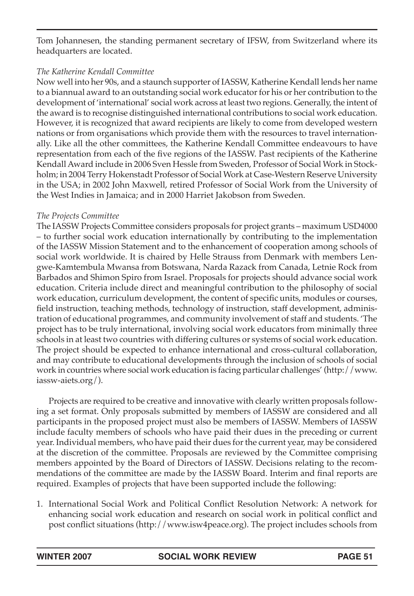Tom Johannesen, the standing permanent secretary of IFSW, from Switzerland where its headquarters are located.

## *The Katherine Kendall Committee*

Now well into her 90s, and a staunch supporter of IASSW, Katherine Kendall lends her name to a biannual award to an outstanding social work educator for his or her contribution to the development of 'international' social work across at least two regions. Generally, the intent of the award is to recognise distinguished international contributions to social work education. However, it is recognized that award recipients are likely to come from developed western nations or from organisations which provide them with the resources to travel internationally. Like all the other committees, the Katherine Kendall Committee endeavours to have representation from each of the five regions of the IASSW. Past recipients of the Katherine Kendall Award include in 2006 Sven Hessle from Sweden, Professor of Social Work in Stockholm; in 2004 Terry Hokenstadt Professor of Social Work at Case-Western Reserve University in the USA; in 2002 John Maxwell, retired Professor of Social Work from the University of the West Indies in Jamaica; and in 2000 Harriet Jakobson from Sweden.

#### *The Projects Committee*

The IASSW Projects Committee considers proposals for project grants – maximum USD4000 – to further social work education internationally by contributing to the implementation of the IASSW Mission Statement and to the enhancement of cooperation among schools of social work worldwide. It is chaired by Helle Strauss from Denmark with members Lengwe-Kamtembula Mwansa from Botswana, Narda Razack from Canada, Letnie Rock from Barbados and Shimon Spiro from Israel. Proposals for projects should advance social work education. Criteria include direct and meaningful contribution to the philosophy of social work education, curriculum development, the content of specific units, modules or courses, field instruction, teaching methods, technology of instruction, staff development, administration of educational programmes, and community involvement of staff and students. 'The project has to be truly international, involving social work educators from minimally three schools in at least two countries with differing cultures or systems of social work education. The project should be expected to enhance international and cross-cultural collaboration, and may contribute to educational developments through the inclusion of schools of social work in countries where social work education is facing particular challenges' (http://www. iassw-aiets.org/).

Projects are required to be creative and innovative with clearly written proposals following a set format. Only proposals submitted by members of IASSW are considered and all participants in the proposed project must also be members of IASSW. Members of IASSW include faculty members of schools who have paid their dues in the preceding or current year. Individual members, who have paid their dues for the current year, may be considered at the discretion of the committee. Proposals are reviewed by the Committee comprising members appointed by the Board of Directors of IASSW. Decisions relating to the recommendations of the committee are made by the IASSW Board. Interim and final reports are required. Examples of projects that have been supported include the following:

1. International Social Work and Political Conflict Resolution Network: A network for enhancing social work education and research on social work in political conflict and post conflict situations (http://www.isw4peace.org). The project includes schools from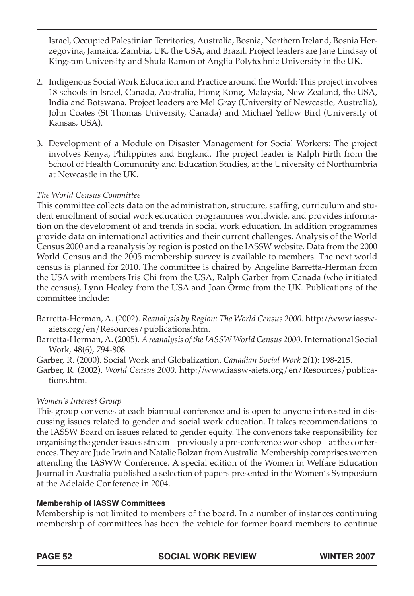Israel, Occupied Palestinian Territories, Australia, Bosnia, Northern Ireland, Bosnia Herzegovina, Jamaica, Zambia, UK, the USA, and Brazil. Project leaders are Jane Lindsay of Kingston University and Shula Ramon of Anglia Polytechnic University in the UK.

- 2. Indigenous Social Work Education and Practice around the World: This project involves 18 schools in Israel, Canada, Australia, Hong Kong, Malaysia, New Zealand, the USA, India and Botswana. Project leaders are Mel Gray (University of Newcastle, Australia), John Coates (St Thomas University, Canada) and Michael Yellow Bird (University of Kansas, USA).
- 3. Development of a Module on Disaster Management for Social Workers: The project involves Kenya, Philippines and England. The project leader is Ralph Firth from the School of Health Community and Education Studies, at the University of Northumbria at Newcastle in the UK.

## *The World Census Committee*

This committee collects data on the administration, structure, staffing, curriculum and student enrollment of social work education programmes worldwide, and provides information on the development of and trends in social work education. In addition programmes provide data on international activities and their current challenges. Analysis of the World Census 2000 and a reanalysis by region is posted on the IASSW website. Data from the 2000 World Census and the 2005 membership survey is available to members. The next world census is planned for 2010. The committee is chaired by Angeline Barretta-Herman from the USA with members Iris Chi from the USA, Ralph Garber from Canada (who initiated the census), Lynn Healey from the USA and Joan Orme from the UK. Publications of the committee include:

Barretta-Herman, A. (2002). *Reanalysis by Region: The World Census 2000.* http://www.iasswaiets.org/en/Resources/publications.htm.

Barretta-Herman, A. (2005). *A reanalysis of the IASSW World Census 2000*. International Social Work, 48(6), 794-808.

Garber, R. (2000). Social Work and Globalization. *Canadian Social Work* 2(1): 198-215.

Garber, R. (2002). *World Census 2000*. http://www.iassw-aiets.org/en/Resources/publications.htm.

## *Women's Interest Group*

This group convenes at each biannual conference and is open to anyone interested in discussing issues related to gender and social work education. It takes recommendations to the IASSW Board on issues related to gender equity. The convenors take responsibility for organising the gender issues stream – previously a pre-conference workshop – at the conferences. They are Jude Irwin and Natalie Bolzan from Australia. Membership comprises women attending the IASWW Conference. A special edition of the Women in Welfare Education Journal in Australia published a selection of papers presented in the Women's Symposium at the Adelaide Conference in 2004.

## **Membership of IASSW Committees**

Membership is not limited to members of the board. In a number of instances continuing membership of committees has been the vehicle for former board members to continue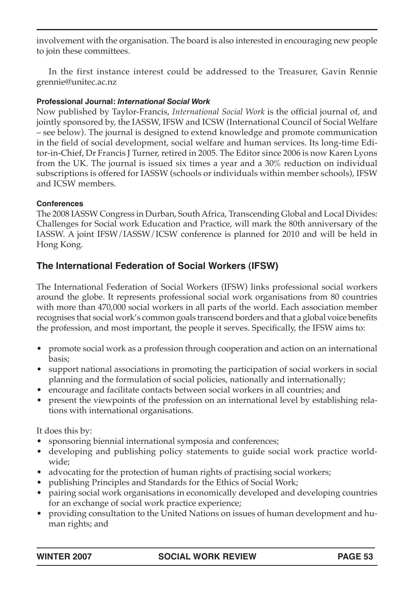involvement with the organisation. The board is also interested in encouraging new people to join these committees.

In the first instance interest could be addressed to the Treasurer, Gavin Rennie grennie@unitec.ac.nz

#### **Professional Journal:** *International Social Work*

Now published by Taylor-Francis, *International Social Work* is the official journal of, and jointly sponsored by, the IASSW, IFSW and ICSW (International Council of Social Welfare – see below). The journal is designed to extend knowledge and promote communication in the field of social development, social welfare and human services. Its long-time Editor-in-Chief, Dr Francis J Turner, retired in 2005. The Editor since 2006 is now Karen Lyons from the UK. The journal is issued six times a year and a 30% reduction on individual subscriptions is offered for IASSW (schools or individuals within member schools), IFSW and ICSW members.

#### **Conferences**

The 2008 IASSW Congress in Durban, South Africa, Transcending Global and Local Divides: Challenges for Social work Education and Practice, will mark the 80th anniversary of the IASSW. A joint IFSW/IASSW/ICSW conference is planned for 2010 and will be held in Hong Kong.

# **The International Federation of Social Workers (IFSW)**

The International Federation of Social Workers (IFSW) links professional social workers around the globe. It represents professional social work organisations from 80 countries with more than 470,000 social workers in all parts of the world. Each association member recognises that social work's common goals transcend borders and that a global voice benefits the profession, and most important, the people it serves. Specifically, the IFSW aims to:

- promote social work as a profession through cooperation and action on an international basis;
- support national associations in promoting the participation of social workers in social planning and the formulation of social policies, nationally and internationally;
- encourage and facilitate contacts between social workers in all countries; and
- present the viewpoints of the profession on an international level by establishing relations with international organisations.

It does this by:

- sponsoring biennial international symposia and conferences;
- developing and publishing policy statements to guide social work practice worldwide;
- advocating for the protection of human rights of practising social workers;
- publishing Principles and Standards for the Ethics of Social Work;
- pairing social work organisations in economically developed and developing countries for an exchange of social work practice experience;
- providing consultation to the United Nations on issues of human development and human rights; and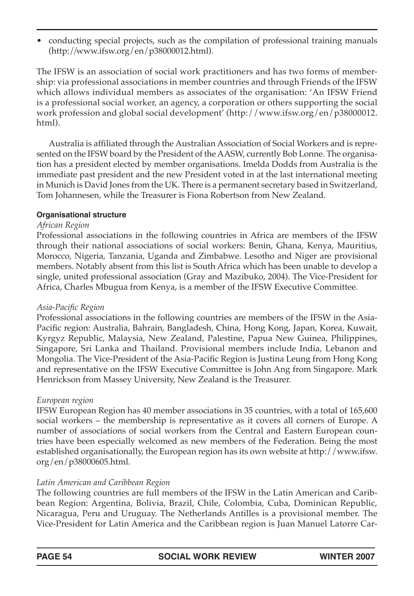• conducting special projects, such as the compilation of professional training manuals (http://www.ifsw.org/en/p38000012.html).

The IFSW is an association of social work practitioners and has two forms of membership: via professional associations in member countries and through Friends of the IFSW which allows individual members as associates of the organisation: 'An IFSW Friend is a professional social worker, an agency, a corporation or others supporting the social work profession and global social development' (http://www.ifsw.org/en/p38000012. html).

Australia is affiliated through the Australian Association of Social Workers and is represented on the IFSW board by the President of the AASW, currently Bob Lonne. The organisation has a president elected by member organisations. Imelda Dodds from Australia is the immediate past president and the new President voted in at the last international meeting in Munich is David Jones from the UK. There is a permanent secretary based in Switzerland, Tom Johannesen, while the Treasurer is Fiona Robertson from New Zealand.

#### **Organisational structure**

#### *African Region*

Professional associations in the following countries in Africa are members of the IFSW through their national associations of social workers: Benin, Ghana, Kenya, Mauritius, Morocco, Nigeria, Tanzania, Uganda and Zimbabwe. Lesotho and Niger are provisional members. Notably absent from this list is South Africa which has been unable to develop a single, united professional association (Gray and Mazibuko, 2004). The Vice-President for Africa, Charles Mbugua from Kenya, is a member of the IFSW Executive Committee.

## *Asia-Pacific Region*

Professional associations in the following countries are members of the IFSW in the Asia-Pacific region: Australia, Bahrain, Bangladesh, China, Hong Kong, Japan, Korea, Kuwait, Kyrgyz Republic, Malaysia, New Zealand, Palestine, Papua New Guinea, Philippines, Singapore, Sri Lanka and Thailand. Provisional members include India, Lebanon and Mongolia. The Vice-President of the Asia-Pacific Region is Justina Leung from Hong Kong and representative on the IFSW Executive Committee is John Ang from Singapore. Mark Henrickson from Massey University, New Zealand is the Treasurer.

## *European region*

IFSW European Region has 40 member associations in 35 countries, with a total of 165,600 social workers – the membership is representative as it covers all corners of Europe. A number of associations of social workers from the Central and Eastern European countries have been especially welcomed as new members of the Federation. Being the most established organisationally, the European region has its own website at http://www.ifsw. org/en/p38000605.html.

## *Latin American and Caribbean Region*

The following countries are full members of the IFSW in the Latin American and Caribbean Region: Argentina, Bolivia, Brazil, Chile, Colombia, Cuba, Dominican Republic, Nicaragua, Peru and Uruguay. The Netherlands Antilles is a provisional member. The Vice-President for Latin America and the Caribbean region is Juan Manuel Latorre Car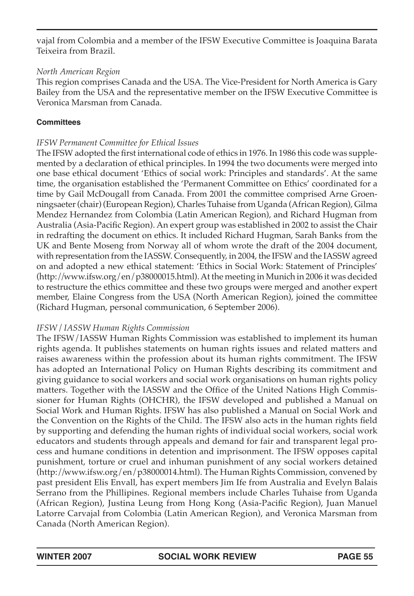vajal from Colombia and a member of the IFSW Executive Committee is Joaquina Barata Teixeira from Brazil.

#### *North American Region*

This region comprises Canada and the USA. The Vice-President for North America is Gary Bailey from the USA and the representative member on the IFSW Executive Committee is Veronica Marsman from Canada.

#### **Committees**

#### *IFSW Permanent Committee for Ethical Issues*

The IFSW adopted the first international code of ethics in 1976. In 1986 this code was supplemented by a declaration of ethical principles. In 1994 the two documents were merged into one base ethical document 'Ethics of social work: Principles and standards'. At the same time, the organisation established the 'Permanent Committee on Ethics' coordinated for a time by Gail McDougall from Canada. From 2001 the committee comprised Arne Groenningsaeter (chair) (European Region), Charles Tuhaise from Uganda (African Region), Gilma Mendez Hernandez from Colombia (Latin American Region), and Richard Hugman from Australia (Asia-Pacific Region). An expert group was established in 2002 to assist the Chair in redrafting the document on ethics. It included Richard Hugman, Sarah Banks from the UK and Bente Moseng from Norway all of whom wrote the draft of the 2004 document, with representation from the IASSW. Consequently, in 2004, the IFSW and the IASSW agreed on and adopted a new ethical statement: 'Ethics in Social Work: Statement of Principles' (http://www.ifsw.org/en/p38000015.html). At the meeting in Munich in 2006 it was decided to restructure the ethics committee and these two groups were merged and another expert member, Elaine Congress from the USA (North American Region), joined the committee (Richard Hugman, personal communication, 6 September 2006).

## *IFSW / IASSW Human Rights Commission*

The IFSW/IASSW Human Rights Commission was established to implement its human rights agenda. It publishes statements on human rights issues and related matters and raises awareness within the profession about its human rights commitment. The IFSW has adopted an International Policy on Human Rights describing its commitment and giving guidance to social workers and social work organisations on human rights policy matters. Together with the IASSW and the Office of the United Nations High Commissioner for Human Rights (OHCHR), the IFSW developed and published a Manual on Social Work and Human Rights. IFSW has also published a Manual on Social Work and the Convention on the Rights of the Child. The IFSW also acts in the human rights field by supporting and defending the human rights of individual social workers, social work educators and students through appeals and demand for fair and transparent legal process and humane conditions in detention and imprisonment. The IFSW opposes capital punishment, torture or cruel and inhuman punishment of any social workers detained (http://www.ifsw.org/en/p38000014.html). The Human Rights Commission, convened by past president Elis Envall, has expert members Jim Ife from Australia and Evelyn Balais Serrano from the Phillipines. Regional members include Charles Tuhaise from Uganda (African Region), Justina Leung from Hong Kong (Asia-Pacific Region), Juan Manuel Latorre Carvajal from Colombia (Latin American Region), and Veronica Marsman from Canada (North American Region).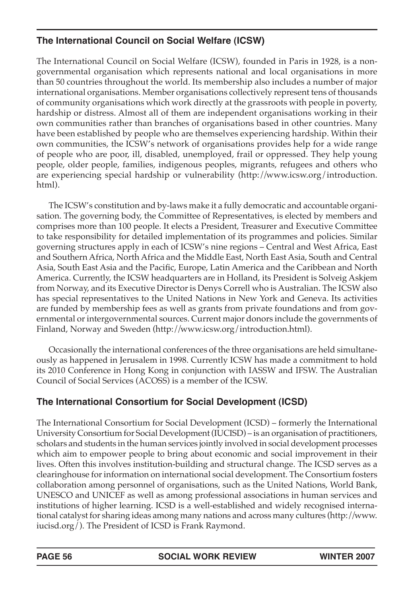# **The International Council on Social Welfare (ICSW)**

The International Council on Social Welfare (ICSW), founded in Paris in 1928, is a nongovernmental organisation which represents national and local organisations in more than 50 countries throughout the world. Its membership also includes a number of major international organisations. Member organisations collectively represent tens of thousands of community organisations which work directly at the grassroots with people in poverty, hardship or distress. Almost all of them are independent organisations working in their own communities rather than branches of organisations based in other countries. Many have been established by people who are themselves experiencing hardship. Within their own communities, the ICSW's network of organisations provides help for a wide range of people who are poor, ill, disabled, unemployed, frail or oppressed. They help young people, older people, families, indigenous peoples, migrants, refugees and others who are experiencing special hardship or vulnerability (http://www.icsw.org/introduction. html).

The ICSW's constitution and by-laws make it a fully democratic and accountable organisation. The governing body, the Committee of Representatives, is elected by members and comprises more than 100 people. It elects a President, Treasurer and Executive Committee to take responsibility for detailed implementation of its programmes and policies. Similar governing structures apply in each of ICSW's nine regions – Central and West Africa, East and Southern Africa, North Africa and the Middle East, North East Asia, South and Central Asia, South East Asia and the Pacific, Europe, Latin America and the Caribbean and North America. Currently, the ICSW headquarters are in Holland, its President is Solveig Askjem from Norway, and its Executive Director is Denys Correll who is Australian. The ICSW also has special representatives to the United Nations in New York and Geneva. Its activities are funded by membership fees as well as grants from private foundations and from governmental or intergovernmental sources. Current major donors include the governments of Finland, Norway and Sweden (http://www.icsw.org/introduction.html).

Occasionally the international conferences of the three organisations are held simultaneously as happened in Jerusalem in 1998. Currently ICSW has made a commitment to hold its 2010 Conference in Hong Kong in conjunction with IASSW and IFSW. The Australian Council of Social Services (ACOSS) is a member of the ICSW.

# **The International Consortium for Social Development (ICSD)**

The International Consortium for Social Development (ICSD) – formerly the International University Consortium for Social Development (IUCISD) – is an organisation of practitioners, scholars and students in the human services jointly involved in social development processes which aim to empower people to bring about economic and social improvement in their lives. Often this involves institution-building and structural change. The ICSD serves as a clearinghouse for information on international social development. The Consortium fosters collaboration among personnel of organisations, such as the United Nations, World Bank, UNESCO and UNICEF as well as among professional associations in human services and institutions of higher learning. ICSD is a well-established and widely recognised international catalyst for sharing ideas among many nations and across many cultures (http://www. iucisd.org/). The President of ICSD is Frank Raymond.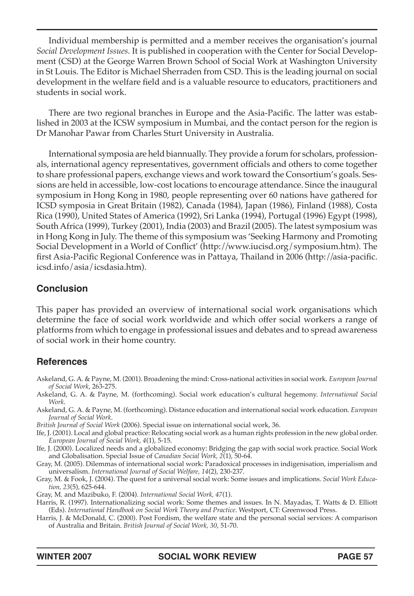Individual membership is permitted and a member receives the organisation's journal *Social Development Issues*. It is published in cooperation with the Center for Social Development (CSD) at the George Warren Brown School of Social Work at Washington University in St Louis. The Editor is Michael Sherraden from CSD. This is the leading journal on social development in the welfare field and is a valuable resource to educators, practitioners and students in social work.

There are two regional branches in Europe and the Asia-Pacific. The latter was established in 2003 at the ICSW symposium in Mumbai, and the contact person for the region is Dr Manohar Pawar from Charles Sturt University in Australia.

International symposia are held biannually. They provide a forum for scholars, professionals, international agency representatives, government officials and others to come together to share professional papers, exchange views and work toward the Consortium's goals. Sessions are held in accessible, low-cost locations to encourage attendance. Since the inaugural symposium in Hong Kong in 1980, people representing over 60 nations have gathered for ICSD symposia in Great Britain (1982), Canada (1984), Japan (1986), Finland (1988), Costa Rica (1990), United States of America (1992), Sri Lanka (1994), Portugal (1996) Egypt (1998), South Africa (1999), Turkey (2001), India (2003) and Brazil (2005). The latest symposium was in Hong Kong in July. The theme of this symposium was 'Seeking Harmony and Promoting Social Development in a World of Conflict' (http://www.iucisd.org/symposium.htm). The first Asia-Pacific Regional Conference was in Pattaya, Thailand in 2006 (http://asia-pacific. icsd.info/asia/icsdasia.htm).

## **Conclusion**

This paper has provided an overview of international social work organisations which determine the face of social work worldwide and which offer social workers a range of platforms from which to engage in professional issues and debates and to spread awareness of social work in their home country.

## **References**

- Askeland, G. A. & Payne, M. (2001). Broadening the mind: Cross-national activities in social work. *European Journal of Social Work*, 263-275.
- Askeland, G. A. & Payne, M. (forthcoming). Social work education's cultural hegemony. *International Social Work*.
- Askeland, G. A. & Payne, M. (forthcoming). Distance education and international social work education. *European Journal of Social Work*.
- *British Journal of Social Work* (2006). Special issue on international social work, 36.
- Ife, J. (2001). Local and global practice: Relocating social work as a human rights profession in the new global order. *European Journal of Social Work, 4*(1), 5-15.
- Ife, J. (2000). Localized needs and a globalized economy: Bridging the gap with social work practice. Social Work and Globalisation. Special Issue of *Canadian Social Work, 2*(1), 50-64.
- Gray, M. (2005). Dilemmas of international social work: Paradoxical processes in indigenisation, imperialism and universalism. *International Journal of Social Welfare, 14*(2), 230-237.
- Gray, M. & Fook, J. (2004). The quest for a universal social work: Some issues and implications. *Social Work Education, 23*(5), 625-644.
- Gray, M. and Mazibuko, F. (2004). *International Social Work, 47*(1).
- Harris, R. (1997). Internationalizing social work: Some themes and issues. In N. Mayadas, T. Watts & D. Elliott (Eds). *International Handbook on Social Work Theory and Practice*. Westport, CT: Greenwood Press.
- Harris, J. & McDonald, C. (2000). Post Fordism, the welfare state and the personal social services: A comparison of Australia and Britain. *British Journal of Social Work, 30*, 51-70.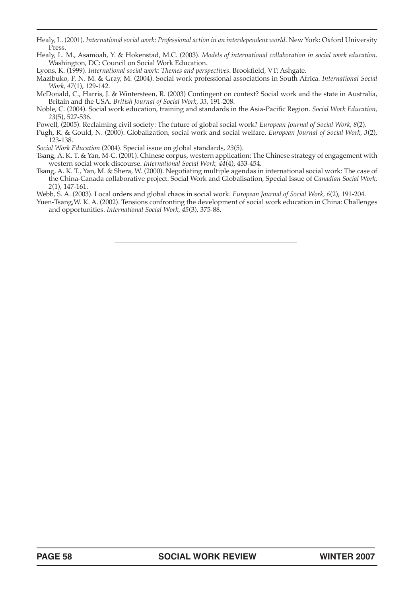Healy, L. (2001). *International social work: Professional action in an interdependent world*. New York: Oxford University Press.

- Healy, L. M., Asamoah, Y. & Hokenstad, M.C. (2003). *Models of international collaboration in social work education*. Washington, DC: Council on Social Work Education.
- Lyons, K. (1999). *International social work: Themes and perspectives*. Brookfield, VT: Ashgate.
- Mazibuko, F. N. M. & Gray, M. (2004). Social work professional associations in South Africa. *International Social Work, 47*(1), 129-142.
- McDonald, C., Harris, J. & Wintersteen, R. (2003) Contingent on context? Social work and the state in Australia, Britain and the USA. *British Journal of Social Work, 33*, 191-208.
- Noble, C. (2004). Social work education, training and standards in the Asia-Pacific Region. *Social Work Education, 23*(5), 527-536.
- Powell, (2005). Reclaiming civil society: The future of global social work? *European Journal of Social Work, 8*(2).

Pugh, R. & Gould, N. (2000). Globalization, social work and social welfare. *European Journal of Social Work, 3*(2), 123-138.

*Social Work Education* (2004). Special issue on global standards, *23*(5).

- Tsang, A. K. T. & Yan, M-C. (2001). Chinese corpus, western application: The Chinese strategy of engagement with western social work discourse. *International Social Work, 44*(4), 433-454.
- Tsang, A. K. T., Yan, M. & Shera, W. (2000). Negotiating multiple agendas in international social work: The case of the China-Canada collaborative project. Social Work and Globalisation, Special Issue of *Canadian Social Work, 2*(1), 147-161.
- Webb, S. A. (2003). Local orders and global chaos in social work. *European Journal of Social Work, 6*(2), 191-204.
- Yuen-Tsang,W. K. A. (2002). Tensions confronting the development of social work education in China: Challenges and opportunities. *International Social Work, 45*(3), 375-88.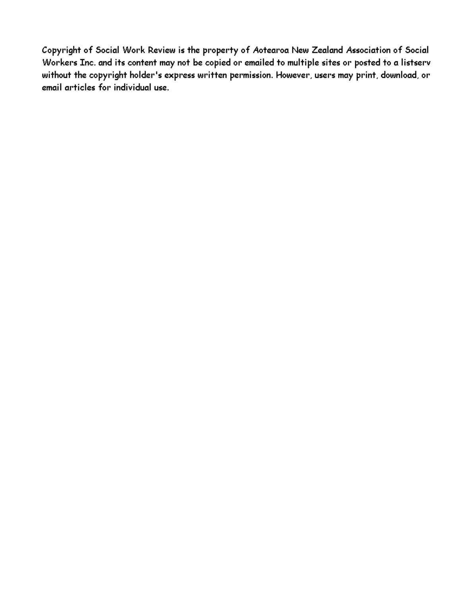Copyright of Social Work Review is the property of Aotearoa New Zealand Association of Social Workers Inc. and its content may not be copied or emailed to multiple sites or posted to a listserv without the copyright holder's express written permission. However, users may print, download, or email articles for individual use.